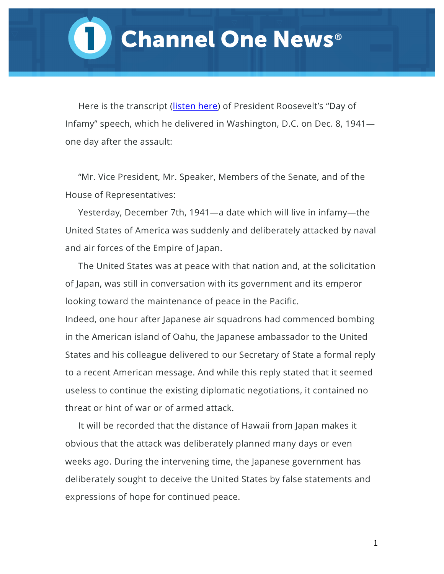## **Channel One News<sup>®</sup>**

Here is the transcript [\(listen here](http://www.americanrhetoric.com/speeches/fdrpearlharbor.htm)) of President Roosevelt's "Day of Infamy" speech, which he delivered in Washington, D.C. on Dec. 8, 1941 one day after the assault:

"Mr. Vice President, Mr. Speaker, Members of the Senate, and of the House of Representatives:

Yesterday, December 7th, 1941—a date which will live in infamy—the United States of America was suddenly and deliberately attacked by naval and air forces of the Empire of Japan.

The United States was at peace with that nation and, at the solicitation of Japan, was still in conversation with its government and its emperor looking toward the maintenance of peace in the Pacific.

Indeed, one hour after Japanese air squadrons had commenced bombing in the American island of Oahu, the Japanese ambassador to the United States and his colleague delivered to our Secretary of State a formal reply to a recent American message. And while this reply stated that it seemed useless to continue the existing diplomatic negotiations, it contained no threat or hint of war or of armed attack.

It will be recorded that the distance of Hawaii from Japan makes it obvious that the attack was deliberately planned many days or even weeks ago. During the intervening time, the Japanese government has deliberately sought to deceive the United States by false statements and expressions of hope for continued peace.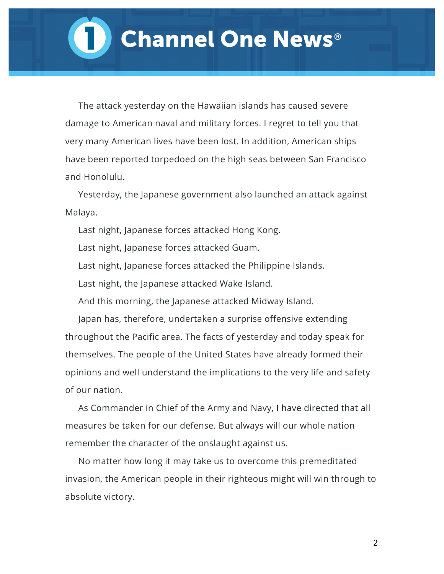The attack yesterday on the Hawaiian islands has caused severe damage to American naval and military forces. I regret to tell you that very many American lives have been lost. In addition, American ships have been reported torpedoed on the high seas between San Francisco and Honolulu.

Yesterday, the Japanese government also launched an attack against Malaya.

Last night, Japanese forces attacked Hong Kong.

Last night, Japanese forces attacked Guam.

Last night, Japanese forces attacked the Philippine Islands.

Last night, the Japanese attacked Wake Island.

And this morning, the Japanese attacked Midway Island.

Japan has, therefore, undertaken a surprise offensive extending throughout the Pacific area. The facts of yesterday and today speak for themselves. The people of the United States have already formed their opinions and well understand the implications to the very life and safety of our nation.

As Commander in Chief of the Army and Navy, I have directed that all measures be taken for our defense. But always will our whole nation remember the character of the onslaught against us.

No matter how long it may take us to overcome this premeditated invasion, the American people in their righteous might will win through to absolute victory.